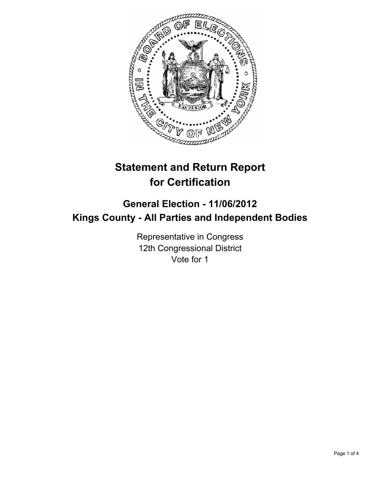

# **Statement and Return Report for Certification**

## **General Election - 11/06/2012 Kings County - All Parties and Independent Bodies**

Representative in Congress 12th Congressional District Vote for 1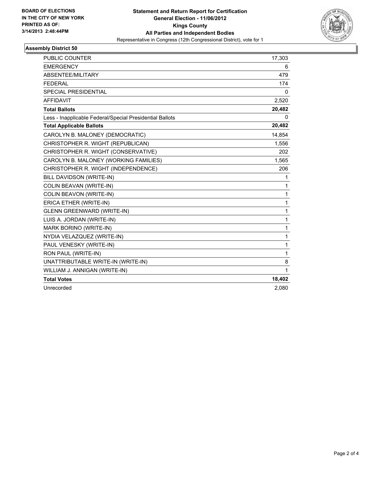

### **Assembly District 50**

| <b>PUBLIC COUNTER</b>                                    | 17,303       |
|----------------------------------------------------------|--------------|
| <b>EMERGENCY</b>                                         | 6            |
| ABSENTEE/MILITARY                                        | 479          |
| <b>FEDERAL</b>                                           | 174          |
| SPECIAL PRESIDENTIAL                                     | 0            |
| <b>AFFIDAVIT</b>                                         | 2,520        |
| <b>Total Ballots</b>                                     | 20,482       |
| Less - Inapplicable Federal/Special Presidential Ballots | 0            |
| <b>Total Applicable Ballots</b>                          | 20,482       |
| CAROLYN B. MALONEY (DEMOCRATIC)                          | 14,854       |
| CHRISTOPHER R. WIGHT (REPUBLICAN)                        | 1,556        |
| CHRISTOPHER R. WIGHT (CONSERVATIVE)                      | 202          |
| CAROLYN B. MALONEY (WORKING FAMILIES)                    | 1,565        |
| CHRISTOPHER R. WIGHT (INDEPENDENCE)                      | 206          |
| BILL DAVIDSON (WRITE-IN)                                 | 1            |
| COLIN BEAVAN (WRITE-IN)                                  | 1            |
| COLIN BEAVON (WRITE-IN)                                  | $\mathbf{1}$ |
| ERICA ETHER (WRITE-IN)                                   | $\mathbf{1}$ |
| <b>GLENN GREENWARD (WRITE-IN)</b>                        | 1            |
| LUIS A. JORDAN (WRITE-IN)                                | 1            |
| MARK BORINO (WRITE-IN)                                   | $\mathbf{1}$ |
| NYDIA VELAZQUEZ (WRITE-IN)                               | $\mathbf{1}$ |
| PAUL VENESKY (WRITE-IN)                                  | $\mathbf{1}$ |
| RON PAUL (WRITE-IN)                                      | $\mathbf{1}$ |
| UNATTRIBUTABLE WRITE-IN (WRITE-IN)                       | 8            |
| WILLIAM J. ANNIGAN (WRITE-IN)                            | 1            |
| <b>Total Votes</b>                                       | 18,402       |
| Unrecorded                                               | 2,080        |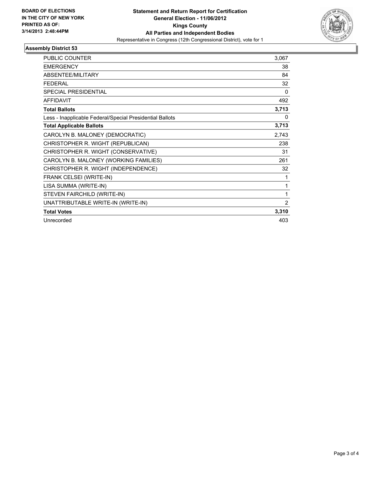

### **Assembly District 53**

| <b>PUBLIC COUNTER</b>                                    | 3,067        |
|----------------------------------------------------------|--------------|
| <b>EMERGENCY</b>                                         | 38           |
| <b>ABSENTEE/MILITARY</b>                                 | 84           |
| <b>FEDERAL</b>                                           | 32           |
| <b>SPECIAL PRESIDENTIAL</b>                              | $\mathbf{0}$ |
| <b>AFFIDAVIT</b>                                         | 492          |
| <b>Total Ballots</b>                                     | 3,713        |
| Less - Inapplicable Federal/Special Presidential Ballots | 0            |
| <b>Total Applicable Ballots</b>                          | 3,713        |
| CAROLYN B. MALONEY (DEMOCRATIC)                          | 2,743        |
| CHRISTOPHER R. WIGHT (REPUBLICAN)                        | 238          |
| CHRISTOPHER R. WIGHT (CONSERVATIVE)                      | 31           |
| CAROLYN B. MALONEY (WORKING FAMILIES)                    | 261          |
| CHRISTOPHER R. WIGHT (INDEPENDENCE)                      | 32           |
| FRANK CELSEI (WRITE-IN)                                  | 1            |
| LISA SUMMA (WRITE-IN)                                    | 1            |
| STEVEN FAIRCHILD (WRITE-IN)                              | 1            |
| UNATTRIBUTABLE WRITE-IN (WRITE-IN)                       | 2            |
| <b>Total Votes</b>                                       | 3,310        |
| Unrecorded                                               | 403          |